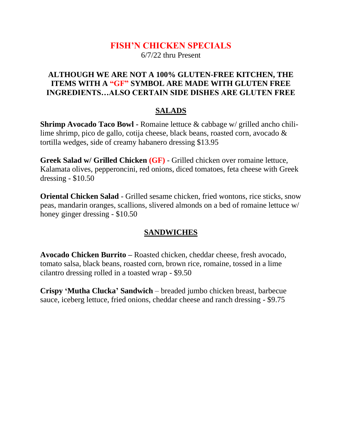## **FISH'N CHICKEN SPECIALS**

6/7/22 thru Present

#### **ALTHOUGH WE ARE NOT A 100% GLUTEN-FREE KITCHEN, THE ITEMS WITH A "GF" SYMBOL ARE MADE WITH GLUTEN FREE INGREDIENTS…ALSO CERTAIN SIDE DISHES ARE GLUTEN FREE**

#### **SALADS**

**Shrimp Avocado Taco Bowl -** Romaine lettuce & cabbage w/ grilled ancho chililime shrimp, pico de gallo, cotija cheese, black beans, roasted corn, avocado & tortilla wedges, side of creamy habanero dressing \$13.95

**Greek Salad w/ Grilled Chicken (GF)** - Grilled chicken over romaine lettuce, Kalamata olives, pepperoncini, red onions, diced tomatoes, feta cheese with Greek dressing - \$10.50

**Oriental Chicken Salad** - Grilled sesame chicken, fried wontons, rice sticks, snow peas, mandarin oranges, scallions, slivered almonds on a bed of romaine lettuce w/ honey ginger dressing - \$10.50

#### **SANDWICHES**

**Avocado Chicken Burrito –** Roasted chicken, cheddar cheese, fresh avocado, tomato salsa, black beans, roasted corn, brown rice, romaine, tossed in a lime cilantro dressing rolled in a toasted wrap - \$9.50

**Crispy 'Mutha Clucka' Sandwich** – breaded jumbo chicken breast, barbecue sauce, iceberg lettuce, fried onions, cheddar cheese and ranch dressing - \$9.75